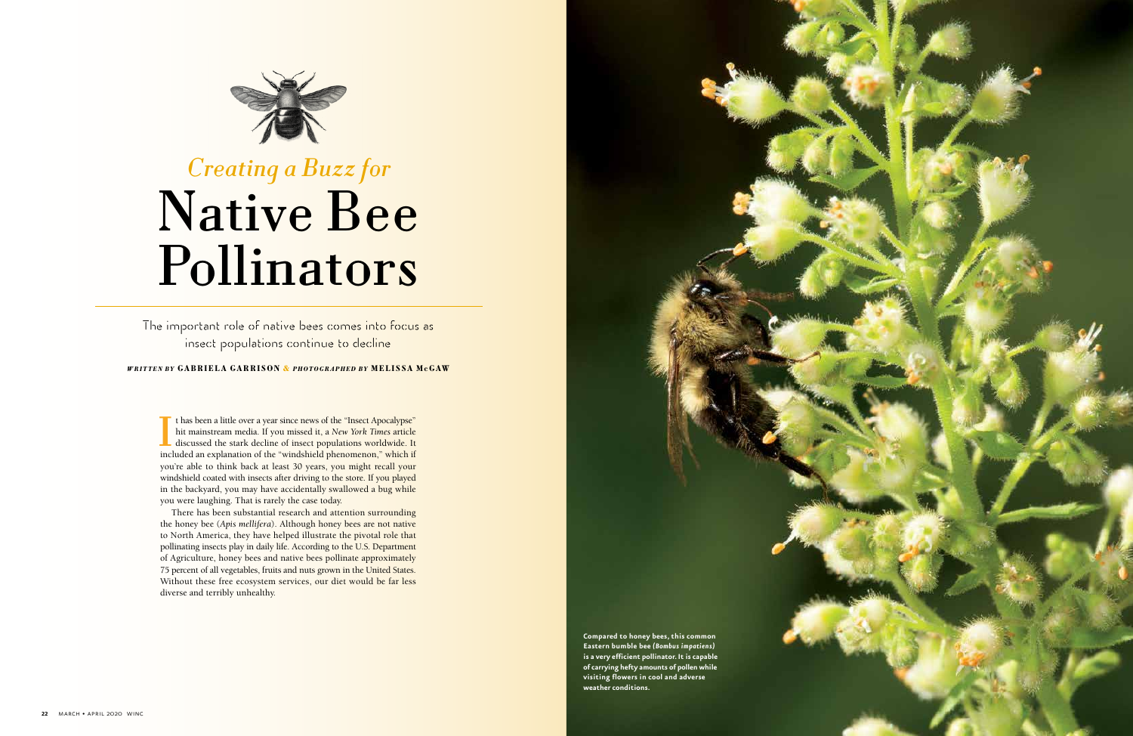The important role of native bees comes into focus as insect populations continue to decline

#### *WRITTEN BY GABRIELA GARRISON & PHOTOGRAPHED BY MELISSA McGAW*



# *Creating a Buzz for*  Native Bee Pollinators

I If thas been a little over a year since news of the "Insect Apocalypse" hit mainstream media. If you missed it, a *New York Times* article discussed the stark decline of insect populations worldwide. It included an explanation of the "windshield phenomenon," which if you're able to think back at least 30 years, you might recall your windshield coated with insects after driving to the store. If you played in the backyard, you may have accidentally swallowed a bug while you were laughing. That is rarely the case today.

There has been substantial research and attention surrounding the honey bee (*Apis mellifera*). Although honey bees are not native to North America, they have helped illustrate the pivotal role that pollinating insects play in daily life. According to the U.S. Department of Agriculture, honey bees and native bees pollinate approximately 75 percent of all vegetables, fruits and nuts grown in the United States. Without these free ecosystem services, our diet would be far less diverse and terribly unhealthy.

> **Compared to honey bees, this common Eastern bumble bee** *(Bombus impatiens)* **is a very efficient pollinator. It is capable of carrying hefty amounts of pollen while visiting flowers in cool and adverse weather conditions.**

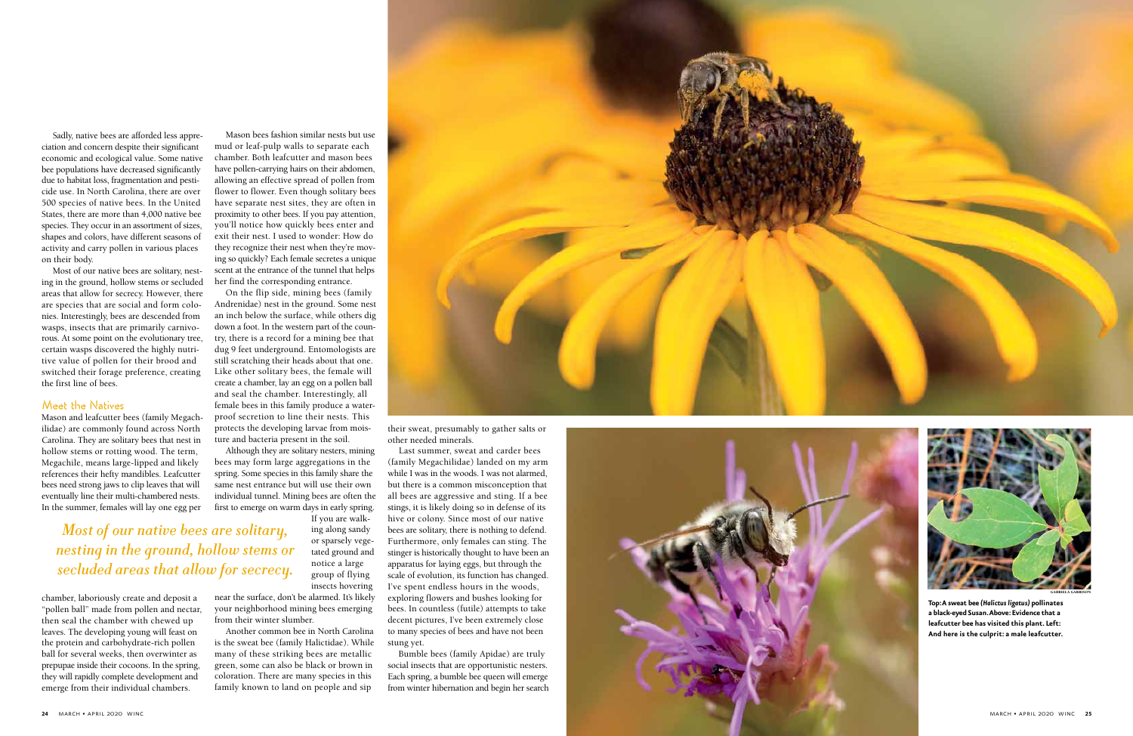



**Top: A sweat bee** *(Halictus ligatus)* **pollinates a black-eyed Susan. Above: Evidence that a leafcutter bee has visited this plant. Left: And here is the culprit: a male leafcutter.**

Sadly, native bees are afforded less appre ciation and concern despite their significant economic and ecological value. Some native bee populations have decreased significantly due to habitat loss, fragmentation and pesti cide use. In North Carolina, there are over 500 species of native bees. In the United States, there are more than 4,000 native bee species. They occur in an assortment of sizes, shapes and colors, have different seasons of activity and carry pollen in various places on their body.

Most of our native bees are solitary, nest ing in the ground, hollow stems or secluded areas that allow for secrecy. However, there are species that are social and form colo nies. Interestingly, bees are descended from wasps, insects that are primarily carnivo rous. At some point on the evolutionary tree, certain wasps discovered the highly nutri tive value of pollen for their brood and switched their forage preference, creating the first line of bees.

## Meet the Natives

Mason and leafcutter bees (family Megach ilidae) are commonly found across North Carolina. They are solitary bees that nest in hollow stems or rotting wood. The term, Megachile, means large-lipped and likely references their hefty mandibles. Leafcutter bees need strong jaws to clip leaves that will eventually line their multi-chambered nests. In the summer, females will lay one egg per

chamber, laboriously create and deposit a "pollen ball" made from pollen and nectar, then seal the chamber with chewed up leaves. The developing young will feast on the protein and carbohydrate-rich pollen ball for several weeks, then overwinter as prepupae inside their cocoons. In the spring, they will rapidly complete development and emerge from their individual chambers.

Mason bees fashion similar nests but use mud or leaf-pulp walls to separate each chamber. Both leafcutter and mason bees have pollen-carrying hairs on their abdomen, allowing an effective spread of pollen from flower to flower. Even though solitary bees have separate nest sites, they are often in proximity to other bees. If you pay attention, you'll notice how quickly bees enter and exit their nest. I used to wonder: How do they recognize their nest when they're mov ing so quickly? Each female secretes a unique scent at the entrance of the tunnel that helps her find the corresponding entrance.

On the flip side, mining bees (family Andrenidae) nest in the ground. Some nest an inch below the surface, while others dig down a foot. In the western part of the coun try, there is a record for a mining bee that dug 9 feet underground. Entomologists are still scratching their heads about that one. Like other solitary bees, the female will create a chamber, lay an egg on a pollen ball and seal the chamber. Interestingly, all female bees in this family produce a waterproof secretion to line their nests. This protects the developing larvae from mois ture and bacteria present in the soil.

Although they are solitary nesters, mining bees may form large aggregations in the spring. Some species in this family share the same nest entrance but will use their own individual tunnel. Mining bees are often the first to emerge on warm days in early spring.

If you are walk ing along sandy or sparsely vege tated ground and notice a large group of flying insects hovering

near the surface, don't be alarmed. It's likely your neighborhood mining bees emerging from their winter slumber.

Another common bee in North Carolina is the sweat bee (family Halictidae). While many of these striking bees are metallic green, some can also be black or brown in coloration. There are many species in this family known to land on people and sip



their sweat, presumably to gather salts or other needed minerals.

Last summer, sweat and carder bees (family Megachilidae) landed on my arm while I was in the woods. I was not alarmed, but there is a common misconception that all bees are aggressive and sting. If a bee stings, it is likely doing so in defense of its hive or colony. Since most of our native bees are solitary, there is nothing to defend. Furthermore, only females can sting. The stinger is historically thought to have been an apparatus for laying eggs, but through the scale of evolution, its function has changed. I've spent endless hours in the woods, exploring flowers and bushes looking for bees. In countless (futile) attempts to take decent pictures, I've been extremely close to many species of bees and have not been stung yet.

Bumble bees (family Apidae) are truly social insects that are opportunistic nesters. Each spring, a bumble bee queen will emerge from winter hibernation and begin her search

*Most of our native bees are solitary, nesting in the ground, hollow stems or secluded areas that allow for secrecy.*

GABRIELA GARRISON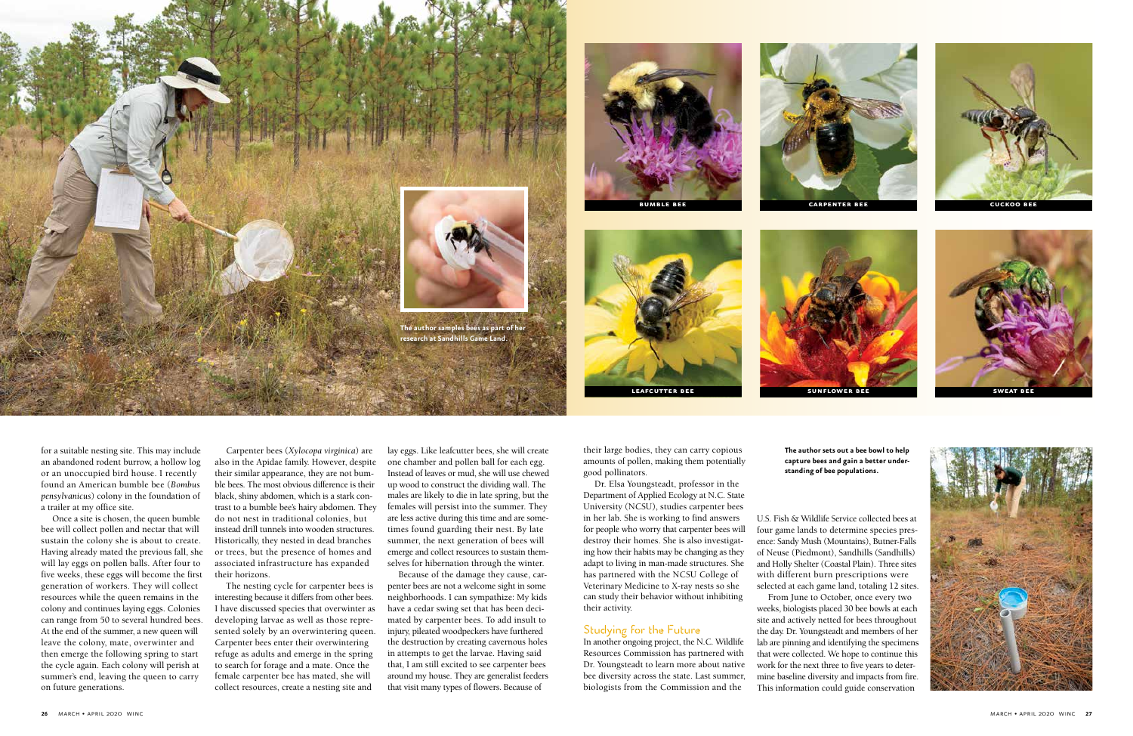for a suitable nesting site. This may include an abandoned rodent burrow, a hollow log or an unoccupied bird house. I recently found an American bumble bee (*Bombus pensylvanicus*) colony in the foundation of a trailer at my office site.

Once a site is chosen, the queen bumble bee will collect pollen and nectar that will sustain the colony she is about to create. Having already mated the previous fall, she will lay eggs on pollen balls. After four to five weeks, these eggs will become the first generation of workers. They will collect resources while the queen remains in the colony and continues laying eggs. Colonies can range from 50 to several hundred bees. At the end of the summer, a new queen will leave the colony, mate, overwinter and then emerge the following spring to start the cycle again. Each colony will perish at summer's end, leaving the queen to carry on future generations.

Carpenter bees (*Xylocopa virginica*) are also in the Apidae family. However, despite their similar appearance, they are not bumble bees. The most obvious difference is their black, shiny abdomen, which is a stark contrast to a bumble bee's hairy abdomen. They do not nest in traditional colonies, but instead drill tunnels into wooden structures. Historically, they nested in dead branches or trees, but the presence of homes and associated infrastructure has expanded their horizons.

The nesting cycle for carpenter bees is interesting because it differs from other bees. I have discussed species that overwinter as developing larvae as well as those represented solely by an overwintering queen. Carpenter bees enter their overwintering refuge as adults and emerge in the spring to search for forage and a mate. Once the female carpenter bee has mated, she will collect resources, create a nesting site and

lay eggs. Like leafcutter bees, she will create one chamber and pollen ball for each egg. Instead of leaves or mud, she will use chewed up wood to construct the dividing wall. The males are likely to die in late spring, but the females will persist into the summer. They are less active during this time and are sometimes found guarding their nest. By late summer, the next generation of bees will emerge and collect resources to sustain themselves for hibernation through the winter.

Because of the damage they cause, carpenter bees are not a welcome sight in some neighborhoods. I can sympathize: My kids have a cedar swing set that has been decimated by carpenter bees. To add insult to injury, pileated woodpeckers have furthered the destruction by creating cavernous holes in attempts to get the larvae. Having said that, I am still excited to see carpenter bees around my house. They are generalist feeders that visit many types of flowers. Because of

their large bodies, they can carry copious amounts of pollen, making them potentially good pollinators.

Dr. Elsa Youngsteadt, professor in the Department of Applied Ecology at N.C. State University (NCSU), studies carpenter bees in her lab. She is working to find answers for people who worry that carpenter bees will destroy their homes. She is also investigating how their habits may be changing as they adapt to living in man-made structures. She has partnered with the NCSU College of Veterinary Medicine to X-ray nests so she can study their behavior without inhibiting their activity.

## Studying for the Future

In another ongoing project, the N.C. Wildlife Resources Commission has partnered with Dr. Youngsteadt to learn more about native bee diversity across the state. Last summer, biologists from the Commission and the





U.S. Fish & Wildlife Service collected bees at From June to October, once every two

four game lands to determine species presence: Sandy Mush (Mountains), Butner-Falls of Neuse (Piedmont), Sandhills (Sandhills) and Holly Shelter (Coastal Plain). Three sites with different burn prescriptions were selected at each game land, totaling 12 sites. weeks, biologists placed 30 bee bowls at each site and actively netted for bees throughout the day. Dr. Youngsteadt and members of her lab are pinning and identifying the specimens that were collected. We hope to continue this work for the next three to five years to determine baseline diversity and impacts from fire. This information could guide conservation









**The author sets out a bee bowl to help capture bees and gain a better understanding of bee populations.**